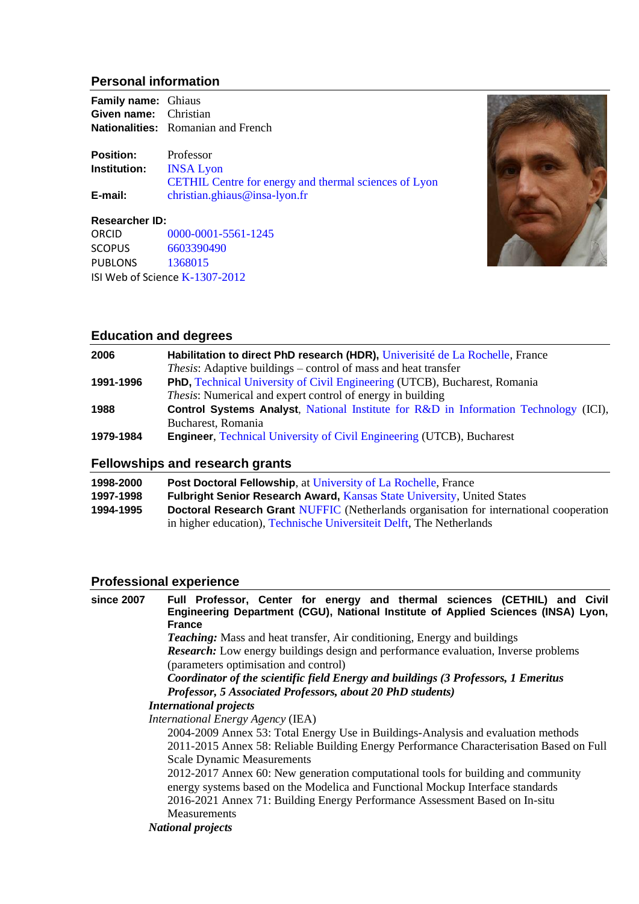# **Personal information**

| <b>Family name:</b> Ghiaus   |                                                       |
|------------------------------|-------------------------------------------------------|
| <b>Given name:</b> Christian |                                                       |
|                              | <b>Nationalities:</b> Romanian and French             |
| <b>Position:</b>             | Professor                                             |
| Institution:                 | <b>INSA Lyon</b>                                      |
|                              | CETHIL Centre for energy and thermal sciences of Lyon |
| E-mail:                      | christian.ghiaus@insa-lyon.fr                         |
| <b>Researcher ID:</b>        |                                                       |
| <b>ORCID</b>                 | 0000-0001-5561-1245                                   |



# **Education and degrees**

SCOPUS [6603390490](https://www.scopus.com/authid/detail.uri?authorId=6603390490) PUBLONS [1368015](https://publons.com/researcher/1368015/christian-ghiaus/)

ISI Web of Science [K-1307-2012](https://publons.com/researcher/K-1307-2012/)

| 2006      | Habilitation to direct PhD research (HDR), Univerisité de La Rochelle, France                |
|-----------|----------------------------------------------------------------------------------------------|
|           | <i>Thesis:</i> Adaptive buildings – control of mass and heat transfer                        |
| 1991-1996 | PhD, Technical University of Civil Engineering (UTCB), Bucharest, Romania                    |
|           | <i>Thesis:</i> Numerical and expert control of energy in building                            |
| 1988      | <b>Control Systems Analyst</b> , National Institute for R&D in Information Technology (ICI), |
|           | Bucharest, Romania                                                                           |
| 1979-1984 | <b>Engineer, Technical University of Civil Engineering (UTCB), Bucharest</b>                 |

# **Fellowships and research grants**

| 1998-2000 | <b>Post Doctoral Fellowship, at University of La Rochelle, France</b>                         |
|-----------|-----------------------------------------------------------------------------------------------|
| 1997-1998 | <b>Fulbright Senior Research Award, Kansas State University, United States</b>                |
| 1994-1995 | <b>Doctoral Research Grant NUFFIC</b> (Netherlands organisation for international cooperation |
|           | in higher education), Technische Universiteit Delft, The Netherlands                          |

# **Professional experience**

| since 2007 | Full Professor, Center for energy and thermal sciences (CETHIL) and Civil               |
|------------|-----------------------------------------------------------------------------------------|
|            | Engineering Department (CGU), National Institute of Applied Sciences (INSA) Lyon,       |
|            | <b>France</b>                                                                           |
|            | <b>Teaching:</b> Mass and heat transfer, Air conditioning, Energy and buildings         |
|            | Research: Low energy buildings design and performance evaluation, Inverse problems      |
|            | (parameters optimisation and control)                                                   |
|            | Coordinator of the scientific field Energy and buildings (3 Professors, 1 Emeritus      |
|            | Professor, 5 Associated Professors, about 20 PhD students)                              |
|            | <b>International projects</b>                                                           |
|            | International Energy Agency (IEA)                                                       |
|            | 2004-2009 Annex 53: Total Energy Use in Buildings-Analysis and evaluation methods       |
|            | 2011-2015 Annex 58: Reliable Building Energy Performance Characterisation Based on Full |
|            | <b>Scale Dynamic Measurements</b>                                                       |
|            | 2012-2017 Annex 60: New generation computational tools for building and community       |
|            | energy systems based on the Modelica and Functional Mockup Interface standards          |
|            | 2016-2021 Annex 71: Building Energy Performance Assessment Based on In-situ             |
|            | <b>Measurements</b>                                                                     |
|            | <b>National projects</b>                                                                |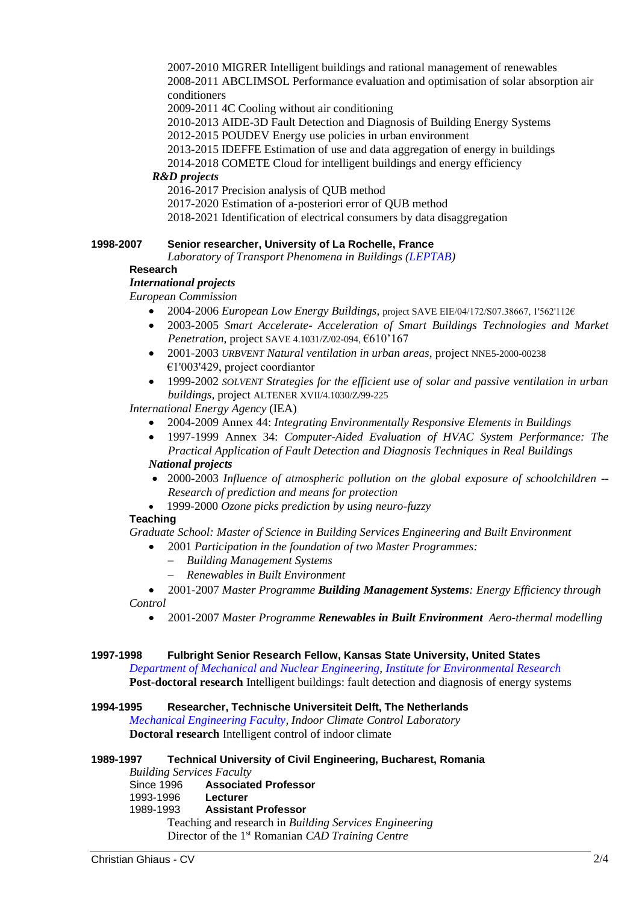2007-2010 MIGRER Intelligent buildings and rational management of renewables 2008-2011 ABCLIMSOL Performance evaluation and optimisation of solar absorption air conditioners

2009-2011 4C Cooling without air conditioning

2010-2013 AIDE-3D Fault Detection and Diagnosis of Building Energy Systems

2012-2015 POUDEV Energy use policies in urban environment

- 2013-2015 IDEFFE Estimation of use and data aggregation of energy in buildings
- 2014-2018 COMETE Cloud for intelligent buildings and energy efficiency

#### *R&D projects*

2016-2017 Precision analysis of QUB method

2017-2020 Estimation of a-posteriori error of QUB method

2018-2021 Identification of electrical consumers by data disaggregation

### **1998-2007 Senior researcher, University of La Rochelle, France**

*Laboratory of Transport Phenomena in Buildings [\(LEPTAB\)](https://lasie.univ-larochelle.fr/)*

### **Research**

## *International projects*

*European Commission*

- 2004-2006 *European Low Energy Buildings*, project SAVE EIE/04/172/S07.38667, 1'562'112€
- 2003-2005 *Smart Accelerate- Acceleration of Smart Buildings Technologies and Market Penetration*, project SAVE 4.1031/Z/02-094, €610'167
- 2001-2003 *URBVENT Natural ventilation in urban areas*, project NNE5-2000-00238 €1'003'429, project coordiantor
- 1999-2002 *SOLVENT Strategies for the efficient use of solar and passive ventilation in urban buildings,* project ALTENER XVII/4.1030/Z/99-225

*International Energy Agency* (IEA)

- 2004-2009 Annex 44: *Integrating Environmentally Responsive Elements in Buildings*
- 1997-1999 Annex 34: *Computer-Aided Evaluation of HVAC System Performance: The Practical Application of Fault Detection and Diagnosis Techniques in Real Buildings*

## *National projects*

- 2000-2003 *Influence of atmospheric pollution on the global exposure of schoolchildren -- Research of prediction and means for protection*
- 1999-2000 *Ozone picks prediction by using neuro-fuzzy*

### **Teaching**

*Graduate School: Master of Science in Building Services Engineering and Built Environment*

- 2001 *Participation in the foundation of two Master Programmes:*
	- − *Building Management Systems*
	- − *Renewables in Built Environment*

• 2001-2007 *Master Programme Building Management Systems: Energy Efficiency through Control*

• 2001-2007 *Master Programme Renewables in Built Environment Aero-thermal modelling*

#### **1997-1998 Fulbright Senior Research Fellow, Kansas State University, United States**

*[Department of Mechanical and Nuclear Engineering,](http://www.mne.ksu.edu/) [Institute for Environmental Research](https://www.k-state.edu/ier/)* **Post-doctoral research** Intelligent buildings: fault detection and diagnosis of energy systems

#### **1994-1995 Researcher, Technische Universiteit Delft, The Netherlands**

*[Mechanical Engineering Faculty,](https://www.tudelft.nl/en/3me/about/departments/maritime-and-transport-technology/) Indoor Climate Control Laboratory* **Doctoral research** Intelligent control of indoor climate

**1989-1997 Technical University of Civil Engineering, Bucharest, Romania**

*Building Services Faculty*

Since 1996 **Associated Professor** 1993-1996 **Lecturer** 1989-1993 **Assistant Professor** Teaching and research in *Building Services Engineering* Director of the 1st Romanian *CAD Training Centre*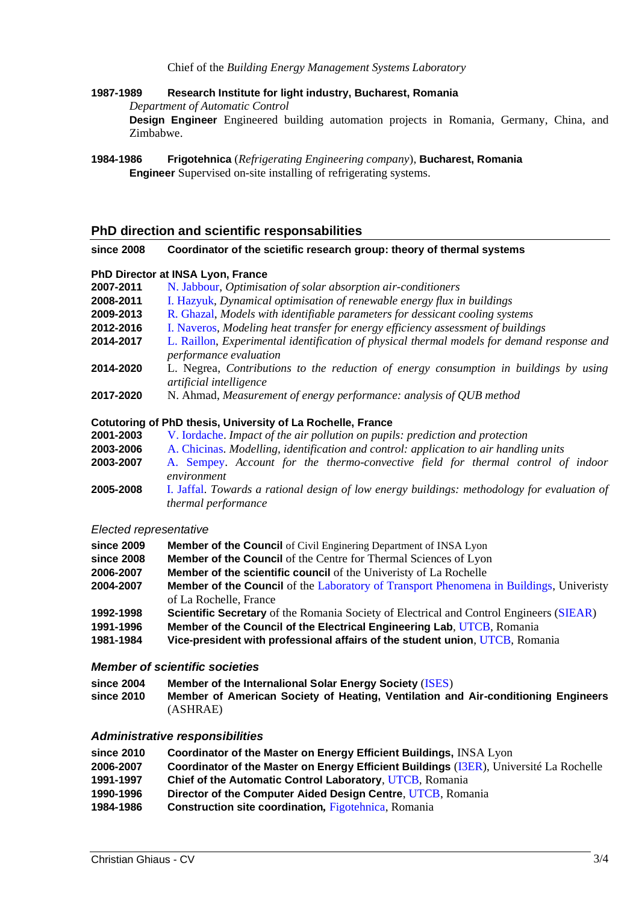#### Chief of the *Building Energy Management Systems Laboratory*

**1987-1989 Research Institute for light industry, Bucharest, Romania** 

*Department of Automatic Control*

**Design Engineer** Engineered building automation projects in Romania, Germany, China, and Zimbabwe.

**1984-1986 [Frigotehnica](http://www.frigotehnica.ro/engleza/)** (*Refrigerating Engineering company*), **Bucharest, Romania Engineer** Supervised on-site installing of refrigerating systems.

#### **PhD direction and scientific responsabilities**

#### **since 2008 Coordinator of the scietific research group: theory of thermal systems**

#### **PhD Director at INSA Lyon, France**

| 2007-2011 | N. Jabbour, Optimisation of solar absorption air-conditioners |  |  |  |
|-----------|---------------------------------------------------------------|--|--|--|
|-----------|---------------------------------------------------------------|--|--|--|

- **2008-2011** [I. Hazyuk,](http://www.theses.fr/2011ISAL0130) *Dynamical optimisation of renewable energy flux in buildings*
- **2009-2013** [R. Ghazal,](http://www.theses.fr/2013ISAL0021) *Models with identifiable parameters for dessicant cooling systems*
- **2012-2016** [I. Naveros,](http://www.theses.fr/2016LYSEI112) *Modeling heat transfer for energy efficiency assessment of buildings*
- **2014-2017** [L. Raillon,](http://www.theses.fr/2018LYSEI039) *Experimental identification of physical thermal models for demand response and performance evaluation*
- **2014-2020** L. Negrea, *Contributions to the reduction of energy consumption in buildings by using artificial intelligence*
- **2017-2020** N. Ahmad, *Measurement of energy performance: analysis of QUB method*

#### **Cotutoring of PhD thesis, University of La Rochelle, France**

- **2001-2003** [V. Iordache.](http://www.theses.fr/2003LAROS095) *Impact of the air pollution on pupils: prediction and protection*
- **2003-2006** [A. Chicinas.](http://www.theses.fr/2006LAROS182) *Modelling, identification and control: application to air handling units*
- **2003-2007** [A. Sempey.](http://www.theses.fr/2007LAROS213) *Account for the thermo-convective field for thermal control of indoor environment*
- **2005-2008** [I. Jaffal.](http://www.theses.fr/2007LAROS213) *Towards a rational design of low energy buildings: methodology for evaluation of thermal performance*

#### *Elected representative*

| since 2009 | <b>Member of the Council</b> of Civil Enginering Department of INSA Lyon                       |
|------------|------------------------------------------------------------------------------------------------|
| since 2008 | <b>Member of the Council</b> of the Centre for Thermal Sciences of Lyon                        |
| 2006-2007  | <b>Member of the scientific council</b> of the University of La Rochelle                       |
| 2004-2007  | <b>Member of the Council</b> of the Laboratory of Transport Phenomena in Buildings, University |
|            | of La Rochelle, France                                                                         |
| 1992-1998  | <b>Scientific Secretary</b> of the Romania Society of Electrical and Control Engineers (SIEAR) |
| 1991-1996  | Member of the Council of the Electrical Engineering Lab, UTCB, Romania                         |
| 1981-1984  | Vice-president with professional affairs of the student union, UTCB, Romania                   |

#### *Member of scientific societies*

| since 2004 | <b>Member of the Internalional Solar Energy Society (ISES)</b>                    |
|------------|-----------------------------------------------------------------------------------|
| since 2010 | Member of American Society of Heating, Ventilation and Air-conditioning Engineers |
|            | (ASHRAE)                                                                          |

#### *Administrative responsibilities*

| since 2010 |  | <b>Coordinator of the Master on Energy Efficient Buildings, INSA Lyon</b> |  |
|------------|--|---------------------------------------------------------------------------|--|
|------------|--|---------------------------------------------------------------------------|--|

- **2006-2007 Coordinator of the Master on Energy Efficient Buildings** [\(I3ER\)](http://master.i3er.org/), Université La Rochelle
- **1991-1997 Chief of the Automatic Control Laboratory**, [UTCB,](http://www.utcb.ro/) Romania
- **1990-1996 Director of the Computer Aided Design Centre**, [UTCB,](http://www.utcb.ro/) Romania
- **1984-1986 Construction site coordination***,* [Figotehnica,](http://www.frigotehnica.ro/) Romania